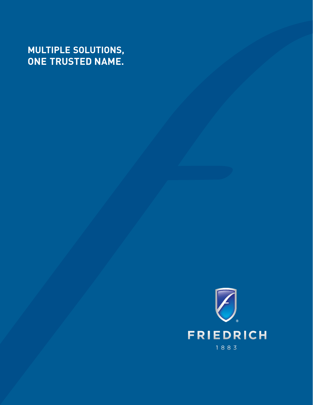## **MULTIPLE SOLUTIONS, ONE TRUSTED NAME.**

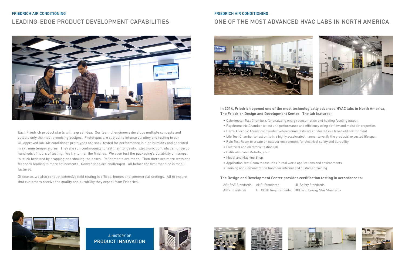Each Friedrich product starts with a great idea. Our team of engineers develops multiple concepts and selects only the most promising designs. Prototypes are subject to intense scrutiny and testing in our UL-approved lab. Air conditioner prototypes are soak-tested for performance in high humidity and operated in extreme temperatures. They are run continuously to test their longevity. Electronic controls can undergo hundreds of hours of testing. We try to mar the finishes. We even test the packaging's durability on ramps, in truck beds and by dropping and shaking the boxes. Refinements are made. Then there are more tests and feedback leading to more refinements. Conventions are challenged—all before the first machine is manufactured.

Of course, we also conduct extensive field testing in offices, homes and commercial settings. All to ensure that customers receive the quality and durability they expect from Friedrich.

## FRIEDRICH AIR CONDITIONING LEADING-EDGE PRODUCT DEVELOPMENT CAPABILITIES



A HISTORY OF PRODUCT INNOVATION









## FRIEDRICH AIR CONDITIONING ONE OF THE MOST ADVANCED HVAC LABS IN NORTH AMERICA



#### **In 2014, Friedrich opened one of the most technologically advanced HVAC labs in North America, The Friedrich Design and Development Center. The lab features:**

• Psychrometric Chamber to test unit performance and efficiency using air flow and moist air properties • Life Test Chamber to test units in a highly accelerated manner to verify the products' expected life span

JL Safety Standards OE and Energy Star Standards





- Calorimeter Test Chambers for analyzing energy consumption and heating /cooling output
- 
- Hemi-Anechoic Acoustics Chamber where sound tests are conducted in a free-field environment
- 
- Rain Test Room to create an outdoor environment for electrical safety and durability
- Electrical and electronic testing lab
- Calibration and Metrology lab
- Model and Machine Shop
- Application Test Room to test units in real world applications and environments
- Training and Demonstration Room for internal and customer training

#### **The Design and Development Center provides certification testing in accordance to:**

| ASHRAE Standards AHRI Standards |                      | U |
|---------------------------------|----------------------|---|
| ANSI Standards                  | UL CDTP Requirements |   |

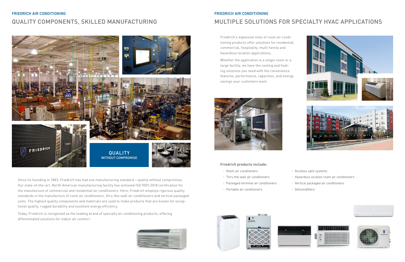## FRIEDRICH AIR CONDITIONING MULTIPLE SOLUTIONS FOR SPECIALTY HVAC APPLICATIONS

Friedrich's expansive lines of room air conditioning products offer solutions for residential, commercial, hospitality, multi-family and hazardous location applications.

Whether the application is a single room or a large facility, we have the cooling and heating solutions you need with the convenience features, performance, capacities, and energy savings your customers want.



#### **Friedrich products include:**

- Room air conditioners Cuctless split systems
- Thru-the-wall air conditioners Hazardous location room air conditioners
- Packaged terminal air conditioners Vertical packaged air conditioners
- Portable air conditioners Dehumidifiers







- 
- 
- 









Since its founding in 1883, Friedrich has had one manufacturing standard – quality without compromise. Our state-of-the-art, North American manufacturing facility has achieved ISO 9001:2018 certification for the manufacture of commercial and residential air conditioners. Here, Friedrich employs rigorous quality standards in the manufacture of room air conditioners, thru-the-wall air conditioners and vertical packaged units. The highest quality components and materials are used to make products that are known for exceptional quality, rugged durability and excellent energy efficiency.

Today, Friedrich is recognized as the leading brand of specialty air conditioning products, offering differentiated solutions for indoor air comfort.



## FRIEDRICH AIR CONDITIONING QUALITY COMPONENTS, SKILLED MANUFACTURING

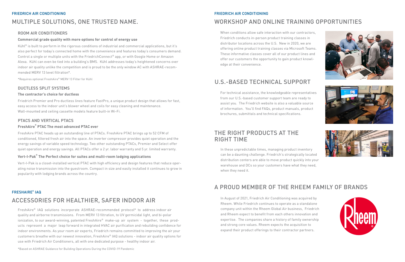#### FRIEDRICH AIR CONDITIONING

### THE RIGHT PRODUCTS AT THE RIGHT TIME

When conditions allow safe interaction with our contractors, Friedrich conducts in-person product training classes in distributor locations across the U.S. New in 2020, we are offering online product training classes via Microsoft Teams. These informative classes cover all of our product lines and offer our customers the opportunity to gain product knowledge at their convenience.

# WORKSHOP AND ONLINE TRAINING OPPORTUNITIES

For technical assistance, the knowledgeable representatives from our U.S.-based customer support team are ready to assist you. The Friedrich website is also a valuable source of information. You'll find FAQs, product manuals, product brochures, submittals and technical specifications.

## U.S.-BASED TECHNICAL SUPPORT

In these unpredictable times, managing product inventory can be a daunting challenge. Friedrich's strategically located distribution centers are able to move product quickly into your warehouse and DCs so your customers have what they need, when they need it.

#### FRIEDRICH AIR CONDITIONING

#### ROOM AIR CONDITIONERS

#### **Commercial grade quality with more options for control of energy use**

Kühl® is built to perform in the rigorous conditions of industrial and commercial applications, but it's also perfect for today's connected home with the convenience and features today's consumers demand. Control a single or multiple units with the FriedrichConnect® app, or with Google Home or Amazon Alexa. Kühl can even be tied into a building's BMS. Kühl addresses today's heightened concerns over indoor air quality unlike the competition and is proud to be the only window AC with ASHRAE-recommended MERV 13 level filtration\*.

\*Requires optional FreshAire® MERV 13 Filter for Kühl

#### DUCTLESS SPLIT SYSTEMS

#### **The contractor's choice for ductless**

Friedrich Premier and Pro ductless lines feature FastPro, a unique product design that allows for fast, easy access to the indoor unit's blower wheel and coils for easy cleaning and maintenance. Wall-mounted and ceiling cassette models feature built-in Wi-Fi.

#### PTACS AND VERTICAL PTACS

#### **FreshAire**®  **PTAC The most advanced PTAC ever**

FreshAire PTAC heads up an outstanding line of PTACs. FreshAire PTAC brings up to 52 CFM of conditioned, filtered fresh air into the space. An inverter compressor provides quiet operation and the energy savings of variable speed technology. Two other outstanding PTACs, Premier and Select offer quiet operation and energy savings. All PTACs offer a 2 yr. labor warranty and 5 yr. limited warranty.

#### **Vert-I-Pak**®  **The Perfect choice for suites and multi-room lodging applications**

Vert-I-Pak is a closet-installed vertical PTAC with high efficiency and design features that reduce operating noise transmission into the guestroom. Compact in size and easily installed it continues to grow in popularity with lodging brands across the country.

FreshAire® IAQ solutions incorporate ASHRAE-recommended protocol\* to address indoor air quality and airborne transmissions. From MERV 13 filtration, to UV germicidal light, and bi-polar ionization, to our award-winning, patented FreshAire® make-up air system - together, these products represent a major leap forward in integrated HVAC air purification and rebuilding confidence for indoor environments. As your room air experts, Friedrich remains committed to improving the air your customers breathe with our newest innovation, FreshAire® IAQ solutions - indoor air quality options for use with Friedrich Air Conditioners, all with one dedicated purpose - healthy indoor air.

#### FRESHAIRE® IAQ

## ACCESSORIES FOR HEALTHIER, SAFER INDOOR AIR

# MULTIPLE SOLUTIONS, ONE TRUSTED NAME.

In August of 2021, Friedrich Air Conditioning was acquired by Rheem. While Friedrich continues to operate as a standalone company unit within the Rheem Global Air business, Friedrich and Rheem expect to benefit from each others innovation and expertise. The companies share a history of family ownership and strong core values. Rheem expects the acquisition to expand their product offerings to their contractor partners.









# A PROUD MEMBER OF THE RHEEM FAMILY OF BRANDS